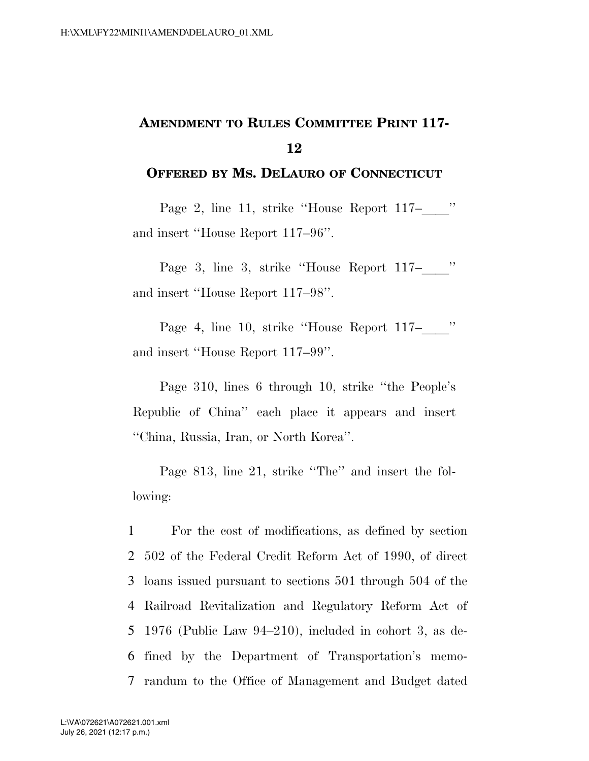## **AMENDMENT TO RULES COMMITTEE PRINT 117- 12**

## **OFFERED BY MS. DELAURO OF CONNECTICUT**

Page 2, line 11, strike "House Report 117–" and insert ''House Report 117–96''.

Page 3, line 3, strike "House Report 117–" and insert ''House Report 117–98''.

Page 4, line 10, strike "House Report 117–" and insert ''House Report 117–99''.

Page 310, lines 6 through 10, strike ''the People's Republic of China'' each place it appears and insert ''China, Russia, Iran, or North Korea''.

Page 813, line 21, strike "The" and insert the following:

 For the cost of modifications, as defined by section 502 of the Federal Credit Reform Act of 1990, of direct loans issued pursuant to sections 501 through 504 of the Railroad Revitalization and Regulatory Reform Act of 1976 (Public Law 94–210), included in cohort 3, as de- fined by the Department of Transportation's memo-randum to the Office of Management and Budget dated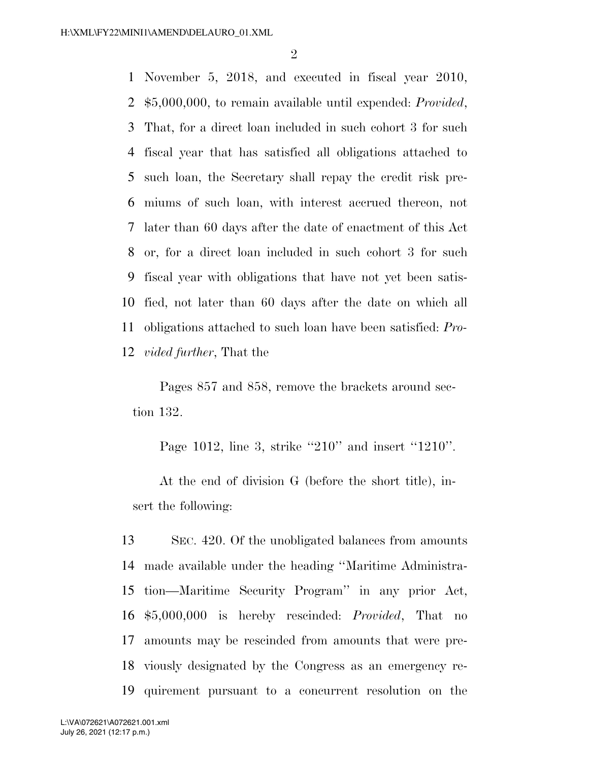November 5, 2018, and executed in fiscal year 2010, \$5,000,000, to remain available until expended: *Provided*, That, for a direct loan included in such cohort 3 for such fiscal year that has satisfied all obligations attached to such loan, the Secretary shall repay the credit risk pre- miums of such loan, with interest accrued thereon, not later than 60 days after the date of enactment of this Act or, for a direct loan included in such cohort 3 for such fiscal year with obligations that have not yet been satis- fied, not later than 60 days after the date on which all obligations attached to such loan have been satisfied: *Pro-vided further*, That the

Pages 857 and 858, remove the brackets around section 132.

Page 1012, line 3, strike "210" and insert "1210".

At the end of division G (before the short title), insert the following:

 SEC. 420. Of the unobligated balances from amounts made available under the heading ''Maritime Administra- tion—Maritime Security Program'' in any prior Act, \$5,000,000 is hereby rescinded: *Provided*, That no amounts may be rescinded from amounts that were pre- viously designated by the Congress as an emergency re-quirement pursuant to a concurrent resolution on the